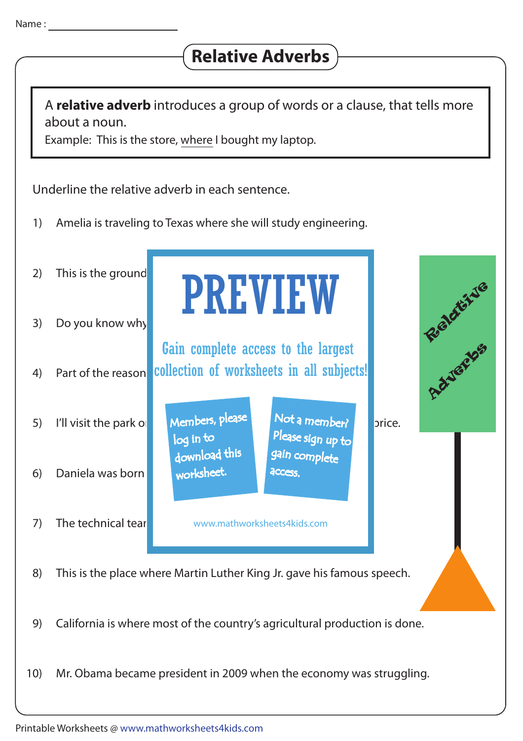